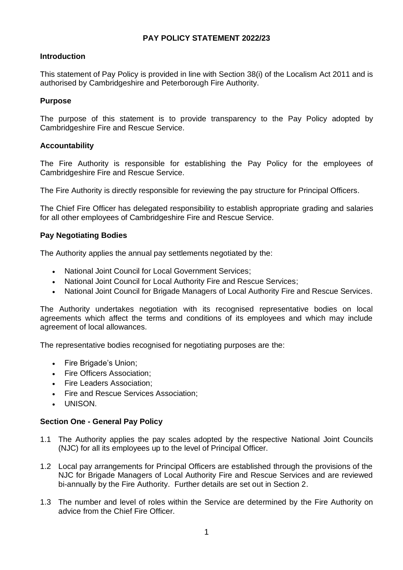# **PAY POLICY STATEMENT 2022/23**

# **Introduction**

This statement of Pay Policy is provided in line with Section 38(i) of the Localism Act 2011 and is authorised by Cambridgeshire and Peterborough Fire Authority.

## **Purpose**

The purpose of this statement is to provide transparency to the Pay Policy adopted by Cambridgeshire Fire and Rescue Service.

# **Accountability**

The Fire Authority is responsible for establishing the Pay Policy for the employees of Cambridgeshire Fire and Rescue Service.

The Fire Authority is directly responsible for reviewing the pay structure for Principal Officers.

The Chief Fire Officer has delegated responsibility to establish appropriate grading and salaries for all other employees of Cambridgeshire Fire and Rescue Service.

# **Pay Negotiating Bodies**

The Authority applies the annual pay settlements negotiated by the:

- National Joint Council for Local Government Services;
- National Joint Council for Local Authority Fire and Rescue Services;
- National Joint Council for Brigade Managers of Local Authority Fire and Rescue Services.

The Authority undertakes negotiation with its recognised representative bodies on local agreements which affect the terms and conditions of its employees and which may include agreement of local allowances.

The representative bodies recognised for negotiating purposes are the:

- Fire Brigade's Union;
- Fire Officers Association;
- Fire Leaders Association;
- Fire and Rescue Services Association;
- UNISON.

## **Section One - General Pay Policy**

- 1.1 The Authority applies the pay scales adopted by the respective National Joint Councils (NJC) for all its employees up to the level of Principal Officer.
- 1.2 Local pay arrangements for Principal Officers are established through the provisions of the NJC for Brigade Managers of Local Authority Fire and Rescue Services and are reviewed bi-annually by the Fire Authority. Further details are set out in Section 2.
- 1.3 The number and level of roles within the Service are determined by the Fire Authority on advice from the Chief Fire Officer.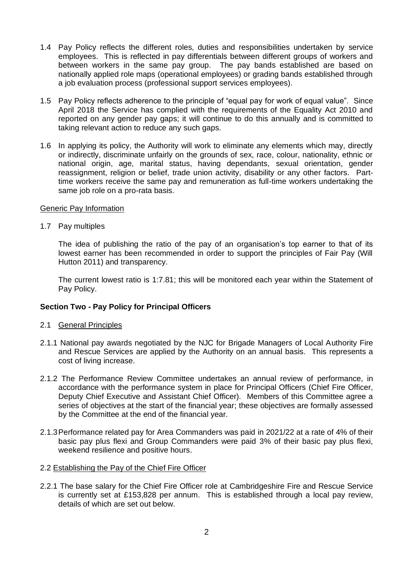- 1.4 Pay Policy reflects the different roles, duties and responsibilities undertaken by service employees. This is reflected in pay differentials between different groups of workers and between workers in the same pay group. The pay bands established are based on nationally applied role maps (operational employees) or grading bands established through a job evaluation process (professional support services employees).
- 1.5 Pay Policy reflects adherence to the principle of "equal pay for work of equal value". Since April 2018 the Service has complied with the requirements of the Equality Act 2010 and reported on any gender pay gaps; it will continue to do this annually and is committed to taking relevant action to reduce any such gaps.
- 1.6 In applying its policy, the Authority will work to eliminate any elements which may, directly or indirectly, discriminate unfairly on the grounds of sex, race, colour, nationality, ethnic or national origin, age, marital status, having dependants, sexual orientation, gender reassignment, religion or belief, trade union activity, disability or any other factors. Parttime workers receive the same pay and remuneration as full-time workers undertaking the same job role on a pro-rata basis.

#### Generic Pay Information

1.7 Pay multiples

The idea of publishing the ratio of the pay of an organisation's top earner to that of its lowest earner has been recommended in order to support the principles of Fair Pay (Will Hutton 2011) and transparency.

The current lowest ratio is 1:7.81; this will be monitored each year within the Statement of Pay Policy.

## **Section Two - Pay Policy for Principal Officers**

- 2.1 General Principles
- 2.1.1 National pay awards negotiated by the NJC for Brigade Managers of Local Authority Fire and Rescue Services are applied by the Authority on an annual basis. This represents a cost of living increase.
- 2.1.2 The Performance Review Committee undertakes an annual review of performance, in accordance with the performance system in place for Principal Officers (Chief Fire Officer, Deputy Chief Executive and Assistant Chief Officer). Members of this Committee agree a series of objectives at the start of the financial year; these objectives are formally assessed by the Committee at the end of the financial year.
- 2.1.3Performance related pay for Area Commanders was paid in 2021/22 at a rate of 4% of their basic pay plus flexi and Group Commanders were paid 3% of their basic pay plus flexi, weekend resilience and positive hours.

## 2.2 Establishing the Pay of the Chief Fire Officer

2.2.1 The base salary for the Chief Fire Officer role at Cambridgeshire Fire and Rescue Service is currently set at £153,828 per annum. This is established through a local pay review, details of which are set out below.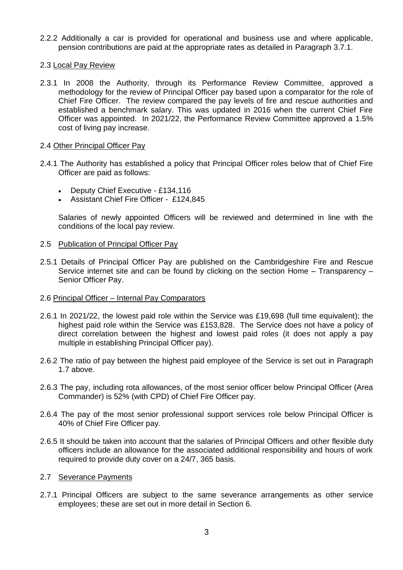2.2.2 Additionally a car is provided for operational and business use and where applicable, pension contributions are paid at the appropriate rates as detailed in Paragraph 3.7.1.

## 2.3 Local Pay Review

2.3.1 In 2008 the Authority, through its Performance Review Committee, approved a methodology for the review of Principal Officer pay based upon a comparator for the role of Chief Fire Officer. The review compared the pay levels of fire and rescue authorities and established a benchmark salary. This was updated in 2016 when the current Chief Fire Officer was appointed. In 2021/22, the Performance Review Committee approved a 1.5% cost of living pay increase.

#### 2.4 Other Principal Officer Pay

- 2.4.1 The Authority has established a policy that Principal Officer roles below that of Chief Fire Officer are paid as follows:
	- Deputy Chief Executive £134,116
	- Assistant Chief Fire Officer £124,845

Salaries of newly appointed Officers will be reviewed and determined in line with the conditions of the local pay review.

#### 2.5 Publication of Principal Officer Pay

2.5.1 Details of Principal Officer Pay are published on the Cambridgeshire Fire and Rescue Service internet site and can be found by clicking on the section Home – Transparency – Senior Officer Pay.

## 2.6 Principal Officer - Internal Pay Comparators

- 2.6.1 In 2021/22, the lowest paid role within the Service was £19,698 (full time equivalent); the highest paid role within the Service was £153,828. The Service does not have a policy of direct correlation between the highest and lowest paid roles (it does not apply a pay multiple in establishing Principal Officer pay).
- 2.6.2 The ratio of pay between the highest paid employee of the Service is set out in Paragraph 1.7 above.
- 2.6.3 The pay, including rota allowances, of the most senior officer below Principal Officer (Area Commander) is 52% (with CPD) of Chief Fire Officer pay.
- 2.6.4 The pay of the most senior professional support services role below Principal Officer is 40% of Chief Fire Officer pay.
- 2.6.5 It should be taken into account that the salaries of Principal Officers and other flexible duty officers include an allowance for the associated additional responsibility and hours of work required to provide duty cover on a 24/7, 365 basis.

## 2.7 Severance Payments

2.7.1 Principal Officers are subject to the same severance arrangements as other service employees; these are set out in more detail in Section 6.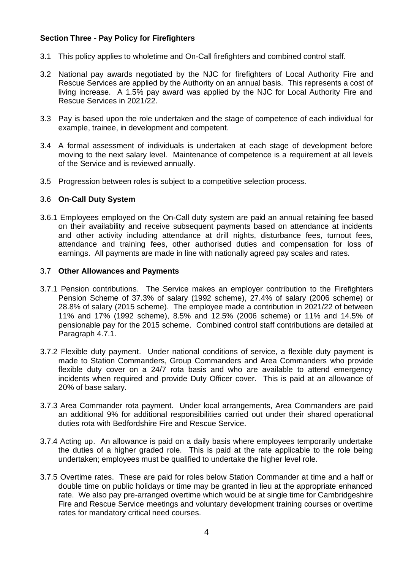# **Section Three - Pay Policy for Firefighters**

- 3.1 This policy applies to wholetime and On-Call firefighters and combined control staff.
- 3.2 National pay awards negotiated by the NJC for firefighters of Local Authority Fire and Rescue Services are applied by the Authority on an annual basis. This represents a cost of living increase. A 1.5% pay award was applied by the NJC for Local Authority Fire and Rescue Services in 2021/22.
- 3.3 Pay is based upon the role undertaken and the stage of competence of each individual for example, trainee, in development and competent.
- 3.4 A formal assessment of individuals is undertaken at each stage of development before moving to the next salary level. Maintenance of competence is a requirement at all levels of the Service and is reviewed annually.
- 3.5 Progression between roles is subject to a competitive selection process.

# 3.6 **On-Call Duty System**

3.6.1 Employees employed on the On-Call duty system are paid an annual retaining fee based on their availability and receive subsequent payments based on attendance at incidents and other activity including attendance at drill nights, disturbance fees, turnout fees, attendance and training fees, other authorised duties and compensation for loss of earnings. All payments are made in line with nationally agreed pay scales and rates.

# 3.7 **Other Allowances and Payments**

- 3.7.1 Pension contributions. The Service makes an employer contribution to the Firefighters Pension Scheme of 37.3% of salary (1992 scheme), 27.4% of salary (2006 scheme) or 28.8% of salary (2015 scheme). The employee made a contribution in 2021/22 of between 11% and 17% (1992 scheme), 8.5% and 12.5% (2006 scheme) or 11% and 14.5% of pensionable pay for the 2015 scheme. Combined control staff contributions are detailed at Paragraph 4.7.1.
- 3.7.2 Flexible duty payment. Under national conditions of service, a flexible duty payment is made to Station Commanders, Group Commanders and Area Commanders who provide flexible duty cover on a 24/7 rota basis and who are available to attend emergency incidents when required and provide Duty Officer cover. This is paid at an allowance of 20% of base salary.
- 3.7.3 Area Commander rota payment. Under local arrangements, Area Commanders are paid an additional 9% for additional responsibilities carried out under their shared operational duties rota with Bedfordshire Fire and Rescue Service.
- 3.7.4 Acting up. An allowance is paid on a daily basis where employees temporarily undertake the duties of a higher graded role. This is paid at the rate applicable to the role being undertaken; employees must be qualified to undertake the higher level role.
- 3.7.5 Overtime rates. These are paid for roles below Station Commander at time and a half or double time on public holidays or time may be granted in lieu at the appropriate enhanced rate. We also pay pre-arranged overtime which would be at single time for Cambridgeshire Fire and Rescue Service meetings and voluntary development training courses or overtime rates for mandatory critical need courses.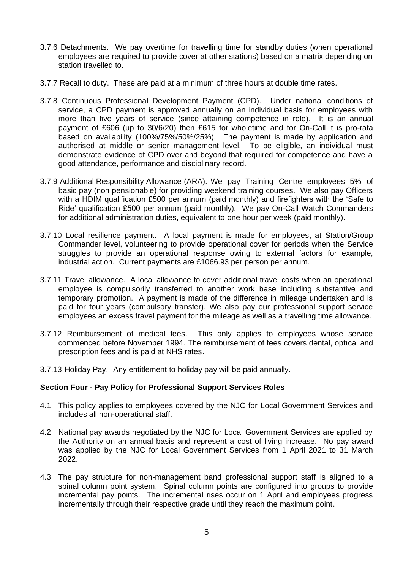- 3.7.6 Detachments. We pay overtime for travelling time for standby duties (when operational employees are required to provide cover at other stations) based on a matrix depending on station travelled to.
- 3.7.7 Recall to duty. These are paid at a minimum of three hours at double time rates.
- 3.7.8 Continuous Professional Development Payment (CPD). Under national conditions of service, a CPD payment is approved annually on an individual basis for employees with more than five years of service (since attaining competence in role). It is an annual payment of £606 (up to 30/6/20) then £615 for wholetime and for On-Call it is pro-rata based on availability (100%/75%/50%/25%). The payment is made by application and authorised at middle or senior management level. To be eligible, an individual must demonstrate evidence of CPD over and beyond that required for competence and have a good attendance, performance and disciplinary record.
- 3.7.9 Additional Responsibility Allowance (ARA). We pay Training Centre employees 5% of basic pay (non pensionable) for providing weekend training courses. We also pay Officers with a HDIM qualification £500 per annum (paid monthly) and firefighters with the 'Safe to Ride' qualification £500 per annum (paid monthly). We pay On-Call Watch Commanders for additional administration duties, equivalent to one hour per week (paid monthly).
- 3.7.10 Local resilience payment. A local payment is made for employees, at Station/Group Commander level, volunteering to provide operational cover for periods when the Service struggles to provide an operational response owing to external factors for example, industrial action. Current payments are £1066.93 per person per annum.
- 3.7.11 Travel allowance. A local allowance to cover additional travel costs when an operational employee is compulsorily transferred to another work base including substantive and temporary promotion. A payment is made of the difference in mileage undertaken and is paid for four years (compulsory transfer). We also pay our professional support service employees an excess travel payment for the mileage as well as a travelling time allowance.
- 3.7.12 Reimbursement of medical fees. This only applies to employees whose service commenced before November 1994. The reimbursement of fees covers dental, optical and prescription fees and is paid at NHS rates.
- 3.7.13 Holiday Pay. Any entitlement to holiday pay will be paid annually.

## **Section Four - Pay Policy for Professional Support Services Roles**

- 4.1 This policy applies to employees covered by the NJC for Local Government Services and includes all non-operational staff.
- 4.2 National pay awards negotiated by the NJC for Local Government Services are applied by the Authority on an annual basis and represent a cost of living increase. No pay award was applied by the NJC for Local Government Services from 1 April 2021 to 31 March 2022.
- 4.3 The pay structure for non-management band professional support staff is aligned to a spinal column point system. Spinal column points are configured into groups to provide incremental pay points. The incremental rises occur on 1 April and employees progress incrementally through their respective grade until they reach the maximum point.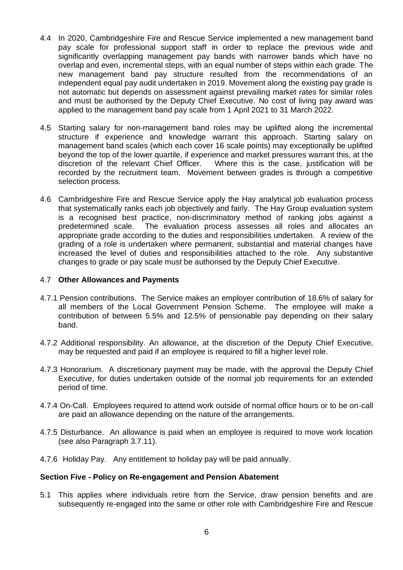- 4.4 In 2020, Cambridgeshire Fire and Rescue Service implemented a new management band pay scale for professional support staff in order to replace the previous wide and significantly overlapping management pay bands with narrower bands which have no overlap and even, incremental steps, with an equal number of steps within each grade. The new management band pay structure resulted from the recommendations of an independent equal pay audit undertaken in 2019. Movement along the existing pay grade is not automatic but depends on assessment against prevailing market rates for similar roles and must be authorised by the Deputy Chief Executive. No cost of living pay award was applied to the management band pay scale from 1 April 2021 to 31 March 2022.
- 4.5 Starting salary for non-management band roles may be uplifted along the incremental structure if experience and knowledge warrant this approach. Starting salary on management band scales (which each cover 16 scale points) may exceptionally be uplifted beyond the top of the lower quartile, if experience and market pressures warrant this, at the discretion of the relevant Chief Officer. Where this is the case, justification will be recorded by the recruitment team. Movement between grades is through a competitive selection process*.*
- 4.6 Cambridgeshire Fire and Rescue Service apply the Hay analytical job evaluation process that systematically ranks each job objectively and fairly. The Hay Group evaluation system is a recognised best practice, non-discriminatory method of ranking jobs against a predetermined scale. The evaluation process assesses all roles and allocates an appropriate grade according to the duties and responsibilities undertaken. A review of the grading of a role is undertaken where permanent, substantial and material changes have increased the level of duties and responsibilities attached to the role. Any substantive changes to grade or pay scale must be authorised by the Deputy Chief Executive.

# 4.7 **Other Allowances and Payments**

- 4.7.1 Pension contributions. The Service makes an employer contribution of 18.6% of salary for all members of the Local Government Pension Scheme. The employee will make a contribution of between 5.5% and 12.5% of pensionable pay depending on their salary band.
- 4.7.2 Additional responsibility. An allowance, at the discretion of the Deputy Chief Executive, may be requested and paid if an employee is required to fill a higher level role.
- 4.7.3 Honorarium. A discretionary payment may be made, with the approval the Deputy Chief Executive, for duties undertaken outside of the normal job requirements for an extended period of time.
- 4.7.4 On-Call. Employees required to attend work outside of normal office hours or to be on-call are paid an allowance depending on the nature of the arrangements.
- 4.7.5 Disturbance. An allowance is paid when an employee is required to move work location (see also Paragraph 3.7.11).
- 4.7.6 Holiday Pay. Any entitlement to holiday pay will be paid annually.

## **Section Five - Policy on Re-engagement and Pension Abatement**

5.1 This applies where individuals retire from the Service, draw pension benefits and are subsequently re-engaged into the same or other role with Cambridgeshire Fire and Rescue